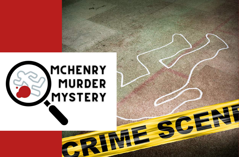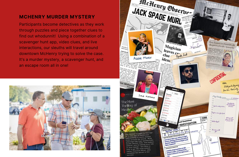## **MCHENRY MURDER MYSTERY**

Participants become detectives as they work through puzzles and piece together clues to find out whodunnit! Using a combination of a scavenger hunt app, video clues, and live interactions, our sleuths will travel around downtown McHenry trying to solve the case. It's a murder mystery, a scavenger hunt, and an escape room all in one!



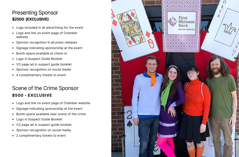## Presenting Sponsor **\$2500 (EXCLUSIVE)**

- Logo included in all advertising for the event
- Logo and link on event page of Chamber website
- Sponsor recognition in all press releases
- Signage indicating sponsorship at the event
- Booth space available at check-in
- Logo in Suspect Guide Booklet
- 1/2 page ad in suspect guide booklet
- Sponsor recognition on social media
- 4 complimentary tickets to event

## Scene of the Crime Sponsor **\$500 - EXCLUSIVE**

- Logo and link on event page of Chamber website
- Signage indicating sponsorship at the event  $\bullet$
- Booth space available near scene of the crime
- Logo in Suspect Guide Booklet
- 1/2 page ad in suspect guide booklet
- Sponsor recognition on social media
- 2 complimentary tickets to event

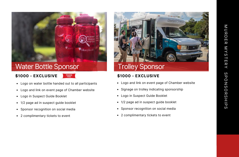

# Water Bottle Sponso

### **\$ 1 0 0 0 - E X C L U S I V E**



- Logo on water bottle handed out to all participants
- Logo and link on event page of Chamber website
- Logo in Suspect Guide Booklet
- 1/2 page ad in suspect guide booklet
- $\bullet$ Sponsor recognition on social media
- 2 complimentary tickets to event



- 
- 
- 
- 
- 
- 2 complimentary tickets to event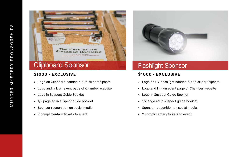

## **\$1000 - EXCLUSIVE**

- Logo on Clipboard handed out to all participants
- Logo and link on event page of Chamber website
- Logo in Suspect Guide Booklet
- 1/2 page ad in suspect guide booklet
- Sponsor recognition on social media
- 2 complimentary tickets to event



# Flashlight Sponsor

## **\$1000 - EXCLUSIVE**

- Logo on UV flashlight handed out to all participants
- Logo and link on event page of Chamber website
- Logo in Suspect Guide Booklet
- 1/2 page ad in suspect guide booklet
- Sponsor recognition on social media
- 2 complimentary tickets to event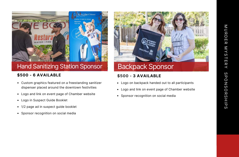

## Hand Sanitizing Station Sponsor

### **\$500 - 6 AVAILABLE**

- Custom graphics featured on a freestanding sanitizer dispenser placed around the downtown festivities
- Logo and link on event page of Chamber website
- Logo in Suspect Guide Booklet
- 1/2 page ad in suspect quide booklet
- Sponsor recognition on social media



## **\$500 - 3 AVAILABLE**

- Logo on backpack handed out to all participants
- Logo and link on event page of Chamber website
- Sponsor recognition on social media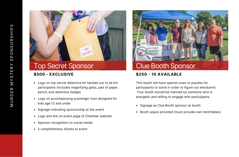

# Top Secret Sponsor

### **\$500 - EXCLUSIVE**

- Logo on top secret detective kit handed out to all kid participants (includes magnifying glass, pad of paper, pencil, and detective badge)
- Logo on accompanying scavenger hunt designed for kids age 12 and under
- Signage indicating sponsorship at the event
- Logo and link on event page of Chamber website
- Sponsor recognition on social media
- 2 complimentary tickets to event



## **\$250 - 10 AVAILABLE**

This booth will have special clues or puzzles for participants to solve in order to figure out whodunnit. Your booth should be manned by someone who is energetic and willing to engage with participants.

- Signage as Clue Booth sponsor at booth
- Booth space provided (must provide own tent/tables)